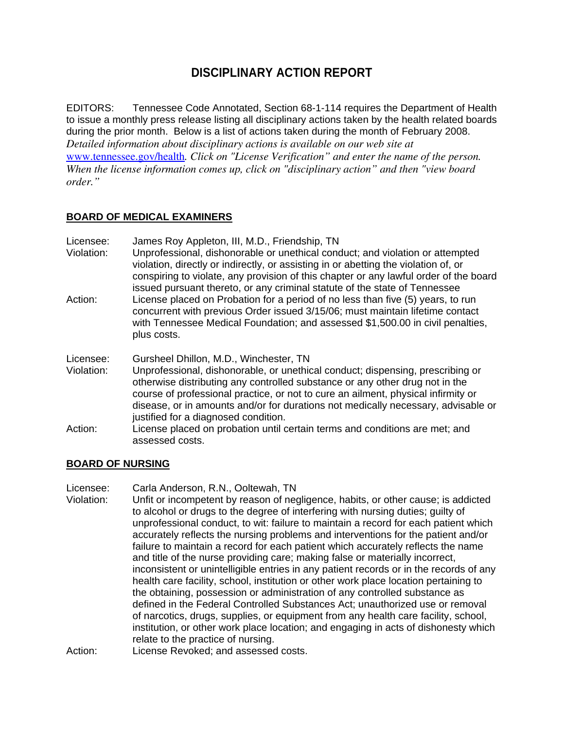# **DISCIPLINARY ACTION REPORT**

EDITORS: Tennessee Code Annotated, Section 68-1-114 requires the Department of Health to issue a monthly press release listing all disciplinary actions taken by the health related boards during the prior month. Below is a list of actions taken during the month of February 2008. *Detailed information about disciplinary actions is available on our web site at*  www.tennessee.gov/health*. Click on "License Verification" and enter the name of the person. When the license information comes up, click on "disciplinary action" and then "view board order."* 

## **BOARD OF MEDICAL EXAMINERS**

- Licensee: James Roy Appleton, III, M.D., Friendship, TN Violation: Unprofessional, dishonorable or unethical conduct; and violation or attempted violation, directly or indirectly, or assisting in or abetting the violation of, or conspiring to violate, any provision of this chapter or any lawful order of the board issued pursuant thereto, or any criminal statute of the state of Tennessee Action: License placed on Probation for a period of no less than five (5) years, to run concurrent with previous Order issued 3/15/06; must maintain lifetime contact with Tennessee Medical Foundation; and assessed \$1,500.00 in civil penalties, plus costs. Licensee: Gursheel Dhillon, M.D., Winchester, TN Violation: Unprofessional, dishonorable, or unethical conduct; dispensing, prescribing or otherwise distributing any controlled substance or any other drug not in the course of professional practice, or not to cure an ailment, physical infirmity or disease, or in amounts and/or for durations not medically necessary, advisable or justified for a diagnosed condition.
- Action: License placed on probation until certain terms and conditions are met; and assessed costs.

## **BOARD OF NURSING**

- Licensee: Carla Anderson, R.N., Ooltewah, TN
- Violation: Unfit or incompetent by reason of negligence, habits, or other cause; is addicted to alcohol or drugs to the degree of interfering with nursing duties; guilty of unprofessional conduct, to wit: failure to maintain a record for each patient which accurately reflects the nursing problems and interventions for the patient and/or failure to maintain a record for each patient which accurately reflects the name and title of the nurse providing care; making false or materially incorrect, inconsistent or unintelligible entries in any patient records or in the records of any health care facility, school, institution or other work place location pertaining to the obtaining, possession or administration of any controlled substance as defined in the Federal Controlled Substances Act; unauthorized use or removal of narcotics, drugs, supplies, or equipment from any health care facility, school, institution, or other work place location; and engaging in acts of dishonesty which relate to the practice of nursing.
- Action: License Revoked; and assessed costs.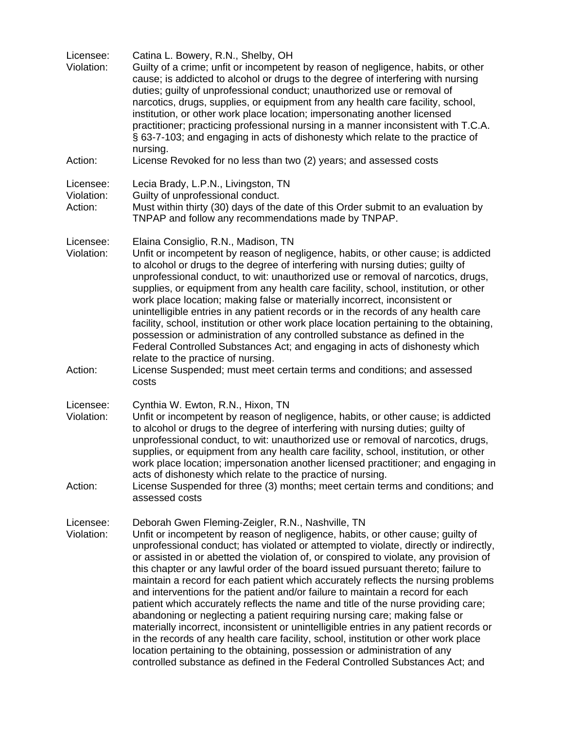| Licensee:<br>Violation:            | Catina L. Bowery, R.N., Shelby, OH<br>Guilty of a crime; unfit or incompetent by reason of negligence, habits, or other<br>cause; is addicted to alcohol or drugs to the degree of interfering with nursing<br>duties; guilty of unprofessional conduct; unauthorized use or removal of<br>narcotics, drugs, supplies, or equipment from any health care facility, school,<br>institution, or other work place location; impersonating another licensed<br>practitioner; practicing professional nursing in a manner inconsistent with T.C.A.<br>§ 63-7-103; and engaging in acts of dishonesty which relate to the practice of                                                                                                                                                                                                                                                                                                                                                                                                                                                                      |  |
|------------------------------------|------------------------------------------------------------------------------------------------------------------------------------------------------------------------------------------------------------------------------------------------------------------------------------------------------------------------------------------------------------------------------------------------------------------------------------------------------------------------------------------------------------------------------------------------------------------------------------------------------------------------------------------------------------------------------------------------------------------------------------------------------------------------------------------------------------------------------------------------------------------------------------------------------------------------------------------------------------------------------------------------------------------------------------------------------------------------------------------------------|--|
| Action:                            | nursing.<br>License Revoked for no less than two (2) years; and assessed costs                                                                                                                                                                                                                                                                                                                                                                                                                                                                                                                                                                                                                                                                                                                                                                                                                                                                                                                                                                                                                       |  |
| Licensee:<br>Violation:<br>Action: | Lecia Brady, L.P.N., Livingston, TN<br>Guilty of unprofessional conduct.<br>Must within thirty (30) days of the date of this Order submit to an evaluation by<br>TNPAP and follow any recommendations made by TNPAP.                                                                                                                                                                                                                                                                                                                                                                                                                                                                                                                                                                                                                                                                                                                                                                                                                                                                                 |  |
| Licensee:<br>Violation:<br>Action: | Elaina Consiglio, R.N., Madison, TN<br>Unfit or incompetent by reason of negligence, habits, or other cause; is addicted<br>to alcohol or drugs to the degree of interfering with nursing duties; guilty of<br>unprofessional conduct, to wit: unauthorized use or removal of narcotics, drugs,<br>supplies, or equipment from any health care facility, school, institution, or other<br>work place location; making false or materially incorrect, inconsistent or<br>unintelligible entries in any patient records or in the records of any health care<br>facility, school, institution or other work place location pertaining to the obtaining,<br>possession or administration of any controlled substance as defined in the<br>Federal Controlled Substances Act; and engaging in acts of dishonesty which<br>relate to the practice of nursing.<br>License Suspended; must meet certain terms and conditions; and assessed<br>costs                                                                                                                                                         |  |
| Licensee:<br>Violation:<br>Action: | Cynthia W. Ewton, R.N., Hixon, TN<br>Unfit or incompetent by reason of negligence, habits, or other cause; is addicted<br>to alcohol or drugs to the degree of interfering with nursing duties; guilty of<br>unprofessional conduct, to wit: unauthorized use or removal of narcotics, drugs,<br>supplies, or equipment from any health care facility, school, institution, or other<br>work place location; impersonation another licensed practitioner; and engaging in<br>acts of dishonesty which relate to the practice of nursing.<br>License Suspended for three (3) months; meet certain terms and conditions; and<br>assessed costs                                                                                                                                                                                                                                                                                                                                                                                                                                                         |  |
| Licensee:<br>Violation:            | Deborah Gwen Fleming-Zeigler, R.N., Nashville, TN<br>Unfit or incompetent by reason of negligence, habits, or other cause; guilty of<br>unprofessional conduct; has violated or attempted to violate, directly or indirectly,<br>or assisted in or abetted the violation of, or conspired to violate, any provision of<br>this chapter or any lawful order of the board issued pursuant thereto; failure to<br>maintain a record for each patient which accurately reflects the nursing problems<br>and interventions for the patient and/or failure to maintain a record for each<br>patient which accurately reflects the name and title of the nurse providing care;<br>abandoning or neglecting a patient requiring nursing care; making false or<br>materially incorrect, inconsistent or unintelligible entries in any patient records or<br>in the records of any health care facility, school, institution or other work place<br>location pertaining to the obtaining, possession or administration of any<br>controlled substance as defined in the Federal Controlled Substances Act; and |  |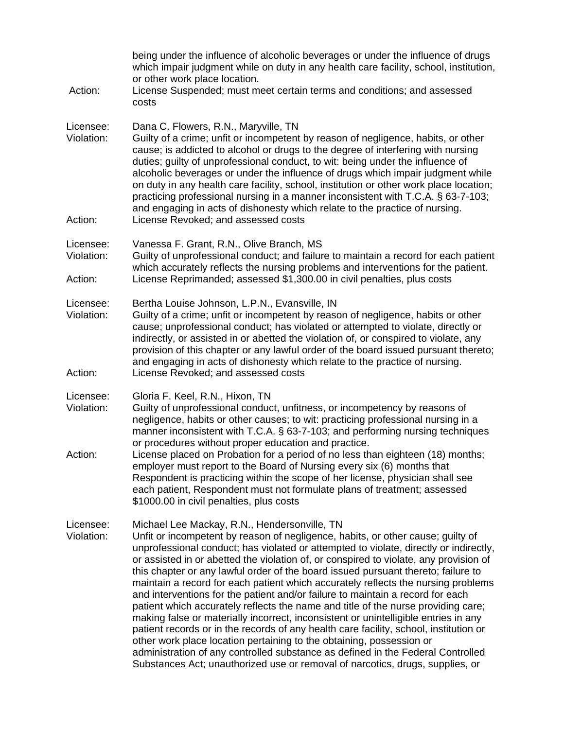| Action:                            | being under the influence of alcoholic beverages or under the influence of drugs<br>which impair judgment while on duty in any health care facility, school, institution,<br>or other work place location.<br>License Suspended; must meet certain terms and conditions; and assessed<br>costs                                                                                                                                                                                                                                                                                                                                                                                                                                                                                                                                                                                                                                                                                                                                                                                                 |  |
|------------------------------------|------------------------------------------------------------------------------------------------------------------------------------------------------------------------------------------------------------------------------------------------------------------------------------------------------------------------------------------------------------------------------------------------------------------------------------------------------------------------------------------------------------------------------------------------------------------------------------------------------------------------------------------------------------------------------------------------------------------------------------------------------------------------------------------------------------------------------------------------------------------------------------------------------------------------------------------------------------------------------------------------------------------------------------------------------------------------------------------------|--|
| Licensee:<br>Violation:<br>Action: | Dana C. Flowers, R.N., Maryville, TN<br>Guilty of a crime; unfit or incompetent by reason of negligence, habits, or other<br>cause; is addicted to alcohol or drugs to the degree of interfering with nursing<br>duties; guilty of unprofessional conduct, to wit: being under the influence of<br>alcoholic beverages or under the influence of drugs which impair judgment while<br>on duty in any health care facility, school, institution or other work place location;<br>practicing professional nursing in a manner inconsistent with T.C.A. § 63-7-103;<br>and engaging in acts of dishonesty which relate to the practice of nursing.<br>License Revoked; and assessed costs                                                                                                                                                                                                                                                                                                                                                                                                         |  |
| Licensee:<br>Violation:            | Vanessa F. Grant, R.N., Olive Branch, MS<br>Guilty of unprofessional conduct; and failure to maintain a record for each patient<br>which accurately reflects the nursing problems and interventions for the patient.                                                                                                                                                                                                                                                                                                                                                                                                                                                                                                                                                                                                                                                                                                                                                                                                                                                                           |  |
| Action:                            | License Reprimanded; assessed \$1,300.00 in civil penalties, plus costs                                                                                                                                                                                                                                                                                                                                                                                                                                                                                                                                                                                                                                                                                                                                                                                                                                                                                                                                                                                                                        |  |
| Licensee:<br>Violation:            | Bertha Louise Johnson, L.P.N., Evansville, IN<br>Guilty of a crime; unfit or incompetent by reason of negligence, habits or other<br>cause; unprofessional conduct; has violated or attempted to violate, directly or<br>indirectly, or assisted in or abetted the violation of, or conspired to violate, any<br>provision of this chapter or any lawful order of the board issued pursuant thereto;<br>and engaging in acts of dishonesty which relate to the practice of nursing.                                                                                                                                                                                                                                                                                                                                                                                                                                                                                                                                                                                                            |  |
| Action:                            | License Revoked; and assessed costs                                                                                                                                                                                                                                                                                                                                                                                                                                                                                                                                                                                                                                                                                                                                                                                                                                                                                                                                                                                                                                                            |  |
| Licensee:<br>Violation:<br>Action: | Gloria F. Keel, R.N., Hixon, TN<br>Guilty of unprofessional conduct, unfitness, or incompetency by reasons of<br>negligence, habits or other causes; to wit: practicing professional nursing in a<br>manner inconsistent with T.C.A. § 63-7-103; and performing nursing techniques<br>or procedures without proper education and practice.<br>License placed on Probation for a period of no less than eighteen (18) months;<br>employer must report to the Board of Nursing every six (6) months that<br>Respondent is practicing within the scope of her license, physician shall see<br>each patient, Respondent must not formulate plans of treatment; assessed                                                                                                                                                                                                                                                                                                                                                                                                                            |  |
|                                    | \$1000.00 in civil penalties, plus costs                                                                                                                                                                                                                                                                                                                                                                                                                                                                                                                                                                                                                                                                                                                                                                                                                                                                                                                                                                                                                                                       |  |
| Licensee:<br>Violation:            | Michael Lee Mackay, R.N., Hendersonville, TN<br>Unfit or incompetent by reason of negligence, habits, or other cause; guilty of<br>unprofessional conduct; has violated or attempted to violate, directly or indirectly,<br>or assisted in or abetted the violation of, or conspired to violate, any provision of<br>this chapter or any lawful order of the board issued pursuant thereto; failure to<br>maintain a record for each patient which accurately reflects the nursing problems<br>and interventions for the patient and/or failure to maintain a record for each<br>patient which accurately reflects the name and title of the nurse providing care;<br>making false or materially incorrect, inconsistent or unintelligible entries in any<br>patient records or in the records of any health care facility, school, institution or<br>other work place location pertaining to the obtaining, possession or<br>administration of any controlled substance as defined in the Federal Controlled<br>Substances Act; unauthorized use or removal of narcotics, drugs, supplies, or |  |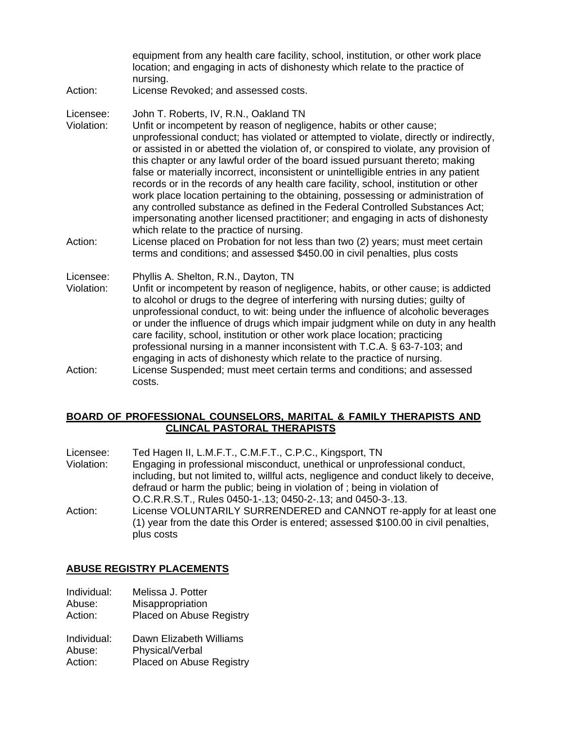equipment from any health care facility, school, institution, or other work place location; and engaging in acts of dishonesty which relate to the practice of nursing.

Action: License Revoked; and assessed costs.

Licensee: John T. Roberts, IV, R.N., Oakland TN

- Violation: Unfit or incompetent by reason of negligence, habits or other cause; unprofessional conduct; has violated or attempted to violate, directly or indirectly, or assisted in or abetted the violation of, or conspired to violate, any provision of this chapter or any lawful order of the board issued pursuant thereto; making false or materially incorrect, inconsistent or unintelligible entries in any patient records or in the records of any health care facility, school, institution or other work place location pertaining to the obtaining, possessing or administration of any controlled substance as defined in the Federal Controlled Substances Act; impersonating another licensed practitioner; and engaging in acts of dishonesty which relate to the practice of nursing.
- Action: License placed on Probation for not less than two (2) years; must meet certain terms and conditions; and assessed \$450.00 in civil penalties, plus costs

Licensee: Phyllis A. Shelton, R.N., Dayton, TN

- Violation: Unfit or incompetent by reason of negligence, habits, or other cause; is addicted to alcohol or drugs to the degree of interfering with nursing duties; guilty of unprofessional conduct, to wit: being under the influence of alcoholic beverages or under the influence of drugs which impair judgment while on duty in any health care facility, school, institution or other work place location; practicing professional nursing in a manner inconsistent with T.C.A. § 63-7-103; and engaging in acts of dishonesty which relate to the practice of nursing.
- Action: License Suspended; must meet certain terms and conditions; and assessed costs.

## **BOARD OF PROFESSIONAL COUNSELORS, MARITAL & FAMILY THERAPISTS AND CLINCAL PASTORAL THERAPISTS**

| Licensee:  | Ted Hagen II, L.M.F.T., C.M.F.T., C.P.C., Kingsport, TN                                |
|------------|----------------------------------------------------------------------------------------|
| Violation: | Engaging in professional misconduct, unethical or unprofessional conduct,              |
|            | including, but not limited to, willful acts, negligence and conduct likely to deceive, |
|            | defraud or harm the public; being in violation of ; being in violation of              |
|            | O.C.R.R.S.T., Rules 0450-1-.13; 0450-2-.13; and 0450-3-.13.                            |
| Action:    | License VOLUNTARILY SURRENDERED and CANNOT re-apply for at least one                   |
|            | (1) year from the date this Order is entered; assessed \$100.00 in civil penalties,    |
|            | plus costs                                                                             |

## **ABUSE REGISTRY PLACEMENTS**

Individual: Melissa J. Potter Abuse: Misappropriation Action: Placed on Abuse Registry Individual: Dawn Elizabeth Williams Abuse: Physical/Verbal Action: Placed on Abuse Registry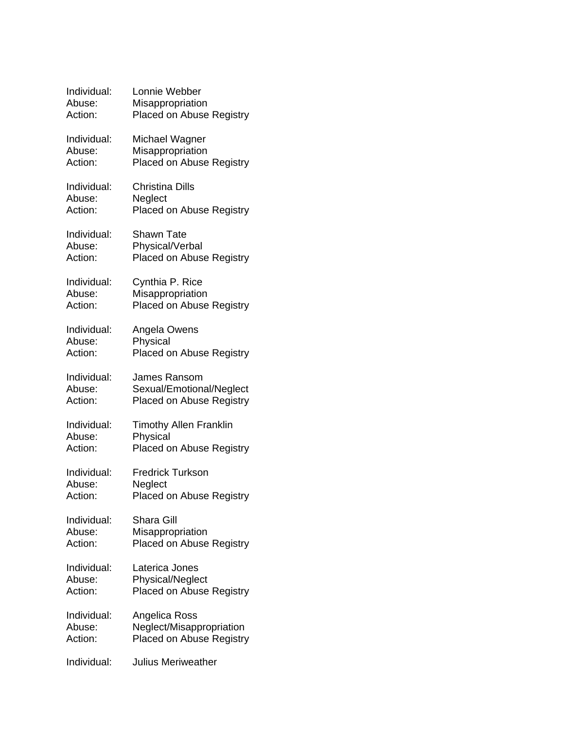| Individual: | Lonnie Webber                   |
|-------------|---------------------------------|
| Abuse:      | Misappropriation                |
| Action:     | <b>Placed on Abuse Registry</b> |
| Individual: | Michael Wagner                  |
| Abuse:      | Misappropriation                |
| Action:     | <b>Placed on Abuse Registry</b> |
| Individual: | <b>Christina Dills</b>          |
| Abuse:      | Neglect                         |
| Action:     | <b>Placed on Abuse Registry</b> |
| Individual: | <b>Shawn Tate</b>               |
| Abuse:      | Physical/Verbal                 |
| Action:     | <b>Placed on Abuse Registry</b> |
| Individual: | Cynthia P. Rice                 |
| Abuse:      | Misappropriation                |
| Action:     | <b>Placed on Abuse Registry</b> |
| Individual: | Angela Owens                    |
| Abuse:      | Physical                        |
| Action:     | <b>Placed on Abuse Registry</b> |
| Individual: | James Ransom                    |
| Abuse:      | Sexual/Emotional/Neglect        |
| Action:     | <b>Placed on Abuse Registry</b> |
| Individual: | <b>Timothy Allen Franklin</b>   |
| Abuse:      | Physical                        |
| Action:     | <b>Placed on Abuse Registry</b> |
| Individual: | <b>Fredrick Turkson</b>         |
| Abuse:      | Neglect                         |
| Action:     | Placed on Abuse Registry        |
| Individual: | Shara Gill                      |
| Abuse:      | Misappropriation                |
| Action:     | <b>Placed on Abuse Registry</b> |
| Individual: | Laterica Jones                  |
| Abuse:      | Physical/Neglect                |
| Action:     | <b>Placed on Abuse Registry</b> |
| Individual: | Angelica Ross                   |
| Abuse:      | Neglect/Misappropriation        |
| Action:     | <b>Placed on Abuse Registry</b> |
| Individual: | Julius Meriweather              |